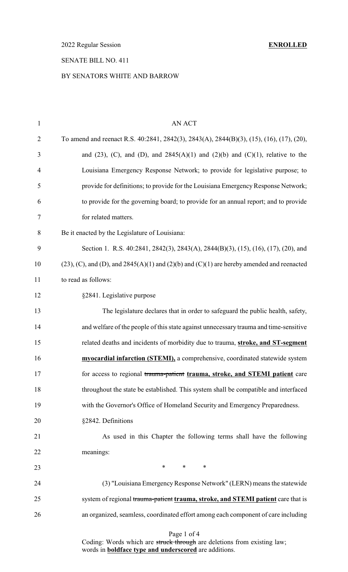2022 Regular Session **ENROLLED**

## SENATE BILL NO. 411

### BY SENATORS WHITE AND BARROW

| $\mathbf{1}$   | <b>AN ACT</b>                                                                                      |
|----------------|----------------------------------------------------------------------------------------------------|
| $\overline{2}$ | To amend and reenact R.S. 40:2841, 2842(3), 2843(A), 2844(B)(3), (15), (16), (17), (20),           |
| 3              | and (23), (C), and (D), and $2845(A)(1)$ and (2)(b) and (C)(1), relative to the                    |
| $\overline{4}$ | Louisiana Emergency Response Network; to provide for legislative purpose; to                       |
| 5              | provide for definitions; to provide for the Louisiana Emergency Response Network;                  |
| 6              | to provide for the governing board; to provide for an annual report; and to provide                |
| 7              | for related matters.                                                                               |
| 8              | Be it enacted by the Legislature of Louisiana:                                                     |
| 9              | Section 1. R.S. 40:2841, 2842(3), 2843(A), 2844(B)(3), (15), (16), (17), (20), and                 |
| 10             | $(23)$ , (C), and (D), and $2845(A)(1)$ and $(2)(b)$ and $(C)(1)$ are hereby amended and reenacted |
| 11             | to read as follows:                                                                                |
| 12             | §2841. Legislative purpose                                                                         |
| 13             | The legislature declares that in order to safeguard the public health, safety,                     |
| 14             | and welfare of the people of this state against unnecessary trauma and time-sensitive              |
| 15             | related deaths and incidents of morbidity due to trauma, stroke, and ST-segment                    |
| 16             | myocardial infarction (STEMI), a comprehensive, coordinated statewide system                       |
| 17             | for access to regional trauma-patient trauma, stroke, and STEMI patient care                       |
| 18             | throughout the state be established. This system shall be compatible and interfaced                |
| 19             | with the Governor's Office of Homeland Security and Emergency Preparedness.                        |
| 20             | §2842. Definitions                                                                                 |
| 21             | As used in this Chapter the following terms shall have the following                               |
| 22             | meanings:                                                                                          |
| 23             | $*$<br>$*$ $*$<br>$\ast$                                                                           |
| 24             | (3) "Louisiana Emergency Response Network" (LERN) means the statewide                              |
| 25             | system of regional trauma-patient trauma, stroke, and STEMI patient care that is                   |
| 26             | an organized, seamless, coordinated effort among each component of care including                  |
|                |                                                                                                    |

Page 1 of 4

Coding: Words which are struck through are deletions from existing law; words in **boldface type and underscored** are additions.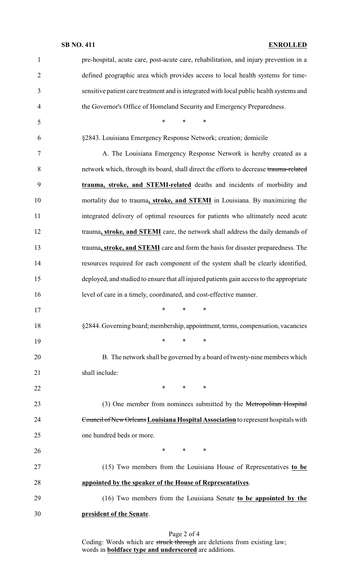### **SB NO. 411 ENROLLED**

| $\mathbf{1}$   | pre-hospital, acute care, post-acute care, rehabilitation, and injury prevention in a    |
|----------------|------------------------------------------------------------------------------------------|
| $\overline{2}$ | defined geographic area which provides access to local health systems for time-          |
| 3              | sensitive patient care treatment and is integrated with local public health systems and  |
| $\overline{4}$ | the Governor's Office of Homeland Security and Emergency Preparedness.                   |
| 5              | $\ast$<br>∗<br>∗                                                                         |
| 6              | §2843. Louisiana Emergency Response Network; creation; domicile                          |
| 7              | A. The Louisiana Emergency Response Network is hereby created as a                       |
| 8              | network which, through its board, shall direct the efforts to decrease trauma-related    |
| 9              | trauma, stroke, and STEMI-related deaths and incidents of morbidity and                  |
| 10             | mortality due to trauma, stroke, and STEMI in Louisiana. By maximizing the               |
| 11             | integrated delivery of optimal resources for patients who ultimately need acute          |
| 12             | trauma, stroke, and STEMI care, the network shall address the daily demands of           |
| 13             | trauma, stroke, and STEMI care and form the basis for disaster preparedness. The         |
| 14             | resources required for each component of the system shall be clearly identified,         |
| 15             | deployed, and studied to ensure that all injured patients gain access to the appropriate |
| 16             | level of care in a timely, coordinated, and cost-effective manner.                       |
| 17             | ∗<br>∗<br>∗                                                                              |
| 18             | §2844. Governing board; membership, appointment, terms, compensation, vacancies          |
| 19             | $\ast$<br>$\ast$<br>∗                                                                    |
| 20             | B. The network shall be governed by a board of twenty-nine members which                 |
| 21             | shall include:                                                                           |
| 22             | $*$ $-$<br>$\ast$<br>∗                                                                   |
| 23             | (3) One member from nominees submitted by the Metropolitan Hospital                      |
| 24             | Council of New Orleans Louisiana Hospital Association to represent hospitals with        |
| 25             | one hundred beds or more.                                                                |
| 26             | $*$<br>$*$ and $*$<br>∗                                                                  |
| 27             | (15) Two members from the Louisiana House of Representatives to be                       |
| 28             | appointed by the speaker of the House of Representatives.                                |
| 29             | (16) Two members from the Louisiana Senate to be appointed by the                        |
| 30             | president of the Senate.                                                                 |
|                |                                                                                          |

Page 2 of 4 Coding: Words which are struck through are deletions from existing law; words in **boldface type and underscored** are additions.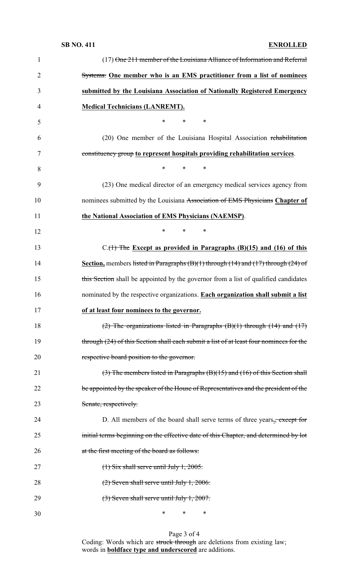### **SB NO. 411 ENROLLED**

| $\mathbf{1}$   | (17) One 211 member of the Louisiana Alliance of Information and Referral                          |
|----------------|----------------------------------------------------------------------------------------------------|
| $\overline{2}$ | Systems. One member who is an EMS practitioner from a list of nominees                             |
| 3              | submitted by the Louisiana Association of Nationally Registered Emergency                          |
| $\overline{4}$ | <b>Medical Technicians (LANREMT).</b>                                                              |
| 5              | $\ast$<br>*<br>∗                                                                                   |
| 6              | (20) One member of the Louisiana Hospital Association rehabilitation                               |
| 7              | constituency group to represent hospitals providing rehabilitation services.                       |
| 8              | $\ast$<br>$\ast$<br>$\ast$                                                                         |
| 9              | (23) One medical director of an emergency medical services agency from                             |
| 10             | nominees submitted by the Louisiana Association of EMS Physicians Chapter of                       |
| 11             | the National Association of EMS Physicians (NAEMSP).                                               |
| 12             | $\ast$<br>*<br>∗                                                                                   |
| 13             | $C_{\cdot}(1)$ The Except as provided in Paragraphs (B)(15) and (16) of this                       |
| 14             | <b>Section</b> , members listed in Paragraphs $(B)(1)$ through $(14)$ and $(17)$ through $(24)$ of |
| 15             | this Section shall be appointed by the governor from a list of qualified candidates                |
| 16             | nominated by the respective organizations. Each organization shall submit a list                   |
| 17             | of at least four nominees to the governor.                                                         |
| 18             | $(2)$ The organizations listed in Paragraphs $(B)(1)$ through $(14)$ and $(17)$                    |
| 19             | through (24) of this Section shall each submit a list of at least four nominees for the            |
| 20             | respective board position to the governor.                                                         |
| 21             | $(3)$ The members listed in Paragraphs $(B)(15)$ and $(16)$ of this Section shall                  |
| 22             | be appointed by the speaker of the House of Representatives and the president of the               |
| 23             | Senate, respectively.                                                                              |
| 24             | D. All members of the board shall serve terms of three years., except for                          |
| 25             | initial terms beginning on the effective date of this Chapter, and determined by lot               |
| 26             | at the first meeting of the board as follows:                                                      |
| 27             | $(1)$ Six shall serve until July 1, 2005.                                                          |
| 28             | $(2)$ Seven shall serve until July 1, 2006.                                                        |
| 29             | $(3)$ Seven shall serve until July 1, 2007.                                                        |
| 30             | ∗<br>∗<br>∗                                                                                        |

Page 3 of 4 Coding: Words which are struck through are deletions from existing law; words in **boldface type and underscored** are additions.